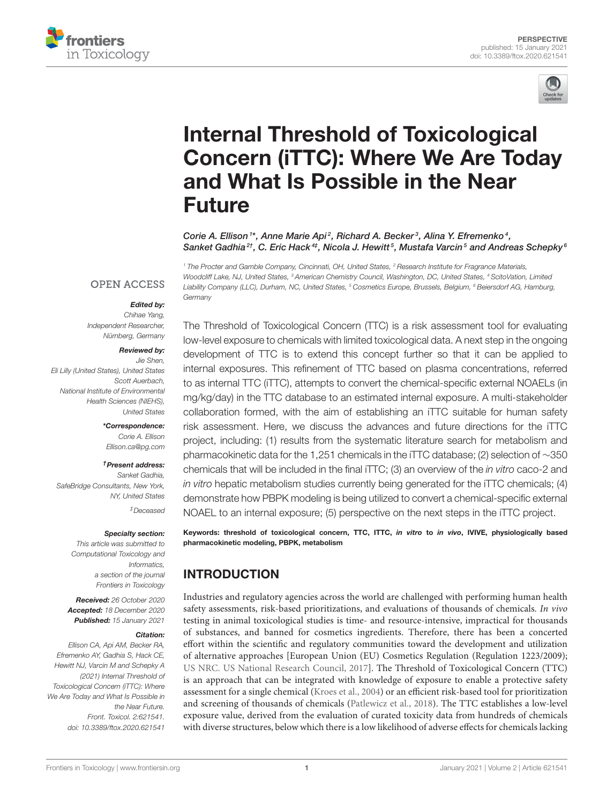



# Internal Threshold of Toxicological [Concern \(iTTC\): Where We Are Today](https://www.frontiersin.org/articles/10.3389/ftox.2020.621541/full) and What Is Possible in the Near Future

Corie A. Ellison<sup>1\*</sup>, Anne Marie Api<sup>2</sup>, Richard A. Becker<sup>3</sup>, Alina Y. Efremenko<sup>4</sup>, Sanket Gadhia<sup>2†</sup>, C. Eric Hack<sup>4‡</sup>, Nicola J. Hewitt<sup>5</sup>, Mustafa Varcin<sup>5</sup> and Andreas Schepky<sup>6</sup>

<sup>1</sup> The Procter and Gamble Company, Cincinnati, OH, United States, <sup>2</sup> Research Institute for Fragrance Materials,

Woodcliff Lake, NJ, United States, <sup>3</sup> American Chemistry Council, Washington, DC, United States, <sup>4</sup> ScitoVation, Limited **OPEN ACCESS** Liability Company (LLC), Durham, NC, United States, <sup>5</sup> Cosmetics Europe, Brussels, Belgium, <sup>6</sup> Beiersdorf AG, Hamburg,

### Edited by:

**Germany** 

Chihae Yang, Independent Researcher, Nürnberg, Germany

#### Reviewed by:

Jie Shen, Eli Lilly (United States), United States Scott Auerbach, National Institute of Environmental Health Sciences (NIEHS), United States

> \*Correspondence: Corie A. Ellison [Ellison.ca@pg.com](mailto:Ellison.ca@pg.com)

#### †Present address:

Sanket Gadhia, SafeBridge Consultants, New York, NY, United States ‡Deceased

#### Specialty section: This article was submitted to

Computational Toxicology and Informatics, a section of the journal Frontiers in Toxicology

Received: 26 October 2020 Accepted: 18 December 2020 Published: 15 January 2021

#### Citation:

Ellison CA, Api AM, Becker RA, Efremenko AY, Gadhia S, Hack CE, Hewitt NJ, Varcin M and Schepky A (2021) Internal Threshold of Toxicological Concern (iTTC): Where We Are Today and What Is Possible in the Near Future. Front. Toxicol. 2:621541. doi: [10.3389/ftox.2020.621541](https://doi.org/10.3389/ftox.2020.621541)

The Threshold of Toxicological Concern (TTC) is a risk assessment tool for evaluating low-level exposure to chemicals with limited toxicological data. A next step in the ongoing development of TTC is to extend this concept further so that it can be applied to internal exposures. This refinement of TTC based on plasma concentrations, referred to as internal TTC (iTTC), attempts to convert the chemical-specific external NOAELs (in mg/kg/day) in the TTC database to an estimated internal exposure. A multi-stakeholder collaboration formed, with the aim of establishing an iTTC suitable for human safety risk assessment. Here, we discuss the advances and future directions for the iTTC project, including: (1) results from the systematic literature search for metabolism and pharmacokinetic data for the 1,251 chemicals in the iTTC database; (2) selection of ∼350 chemicals that will be included in the final iTTC; (3) an overview of the in vitro caco-2 and in vitro hepatic metabolism studies currently being generated for the iTTC chemicals; (4) demonstrate how PBPK modeling is being utilized to convert a chemical-specific external NOAEL to an internal exposure; (5) perspective on the next steps in the iTTC project.

Keywords: threshold of toxicological concern, TTC, ITTC, in vitro to in vivo, IVIVE, physiologically based pharmacokinetic modeling, PBPK, metabolism

# INTRODUCTION

Industries and regulatory agencies across the world are challenged with performing human health safety assessments, risk-based prioritizations, and evaluations of thousands of chemicals. In vivo testing in animal toxicological studies is time- and resource-intensive, impractical for thousands of substances, and banned for cosmetics ingredients. Therefore, there has been a concerted effort within the scientific and regulatory communities toward the development and utilization of alternative approaches [European Union (EU) Cosmetics Regulation (Regulation 1223/2009); [US NRC. US National Research Council, 2017\]](#page-6-0). The Threshold of Toxicological Concern (TTC) is an approach that can be integrated with knowledge of exposure to enable a protective safety assessment for a single chemical [\(Kroes et al., 2004\)](#page-5-0) or an efficient risk-based tool for prioritization and screening of thousands of chemicals [\(Patlewicz et al., 2018\)](#page-5-1). The TTC establishes a low-level exposure value, derived from the evaluation of curated toxicity data from hundreds of chemicals with diverse structures, below which there is a low likelihood of adverse effects for chemicals lacking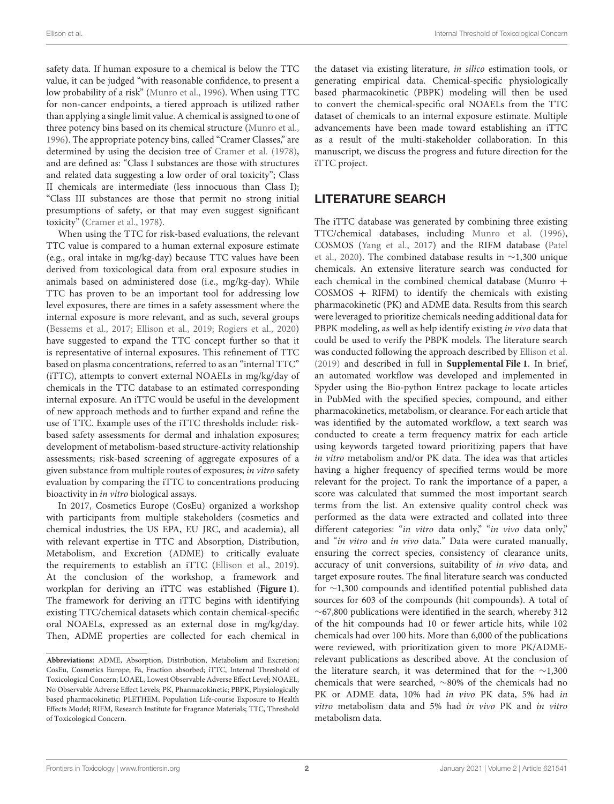safety data. If human exposure to a chemical is below the TTC value, it can be judged "with reasonable confidence, to present a low probability of a risk" [\(Munro et al., 1996\)](#page-5-2). When using TTC for non-cancer endpoints, a tiered approach is utilized rather than applying a single limit value. A chemical is assigned to one of three potency bins based on its chemical structure [\(Munro et al.,](#page-5-2) [1996\)](#page-5-2). The appropriate potency bins, called "Cramer Classes," are determined by using the decision tree of [Cramer et al. \(1978\)](#page-5-3), and are defined as: "Class I substances are those with structures and related data suggesting a low order of oral toxicity"; Class II chemicals are intermediate (less innocuous than Class I); "Class III substances are those that permit no strong initial presumptions of safety, or that may even suggest significant toxicity" [\(Cramer et al., 1978\)](#page-5-3).

When using the TTC for risk-based evaluations, the relevant TTC value is compared to a human external exposure estimate (e.g., oral intake in mg/kg-day) because TTC values have been derived from toxicological data from oral exposure studies in animals based on administered dose (i.e., mg/kg-day). While TTC has proven to be an important tool for addressing low level exposures, there are times in a safety assessment where the internal exposure is more relevant, and as such, several groups [\(Bessems et al., 2017;](#page-5-4) [Ellison et al., 2019;](#page-5-5) [Rogiers et al., 2020\)](#page-5-6) have suggested to expand the TTC concept further so that it is representative of internal exposures. This refinement of TTC based on plasma concentrations, referred to as an "internal TTC" (iTTC), attempts to convert external NOAELs in mg/kg/day of chemicals in the TTC database to an estimated corresponding internal exposure. An iTTC would be useful in the development of new approach methods and to further expand and refine the use of TTC. Example uses of the iTTC thresholds include: riskbased safety assessments for dermal and inhalation exposures; development of metabolism-based structure-activity relationship assessments; risk-based screening of aggregate exposures of a given substance from multiple routes of exposures; in vitro safety evaluation by comparing the iTTC to concentrations producing bioactivity in in vitro biological assays.

In 2017, Cosmetics Europe (CosEu) organized a workshop with participants from multiple stakeholders (cosmetics and chemical industries, the US EPA, EU JRC, and academia), all with relevant expertise in TTC and Absorption, Distribution, Metabolism, and Excretion (ADME) to critically evaluate the requirements to establish an iTTC [\(Ellison et al., 2019\)](#page-5-5). At the conclusion of the workshop, a framework and workplan for deriving an iTTC was established (**[Figure 1](#page-2-0)**). The framework for deriving an iTTC begins with identifying existing TTC/chemical datasets which contain chemical-specific oral NOAELs, expressed as an external dose in mg/kg/day. Then, ADME properties are collected for each chemical in the dataset via existing literature, in silico estimation tools, or generating empirical data. Chemical-specific physiologically based pharmacokinetic (PBPK) modeling will then be used to convert the chemical-specific oral NOAELs from the TTC dataset of chemicals to an internal exposure estimate. Multiple advancements have been made toward establishing an iTTC as a result of the multi-stakeholder collaboration. In this manuscript, we discuss the progress and future direction for the iTTC project.

# LITERATURE SEARCH

The iTTC database was generated by combining three existing TTC/chemical databases, including [Munro et al. \(1996\)](#page-5-2), COSMOS [\(Yang et al., 2017\)](#page-6-1) and the RIFM database (Patel et al., [2020\)](#page-5-7). The combined database results in ∼1,300 unique chemicals. An extensive literature search was conducted for each chemical in the combined chemical database (Munro  $+$  $COSMOS + RIFM$ ) to identify the chemicals with existing pharmacokinetic (PK) and ADME data. Results from this search were leveraged to prioritize chemicals needing additional data for PBPK modeling, as well as help identify existing in vivo data that could be used to verify the PBPK models. The literature search was conducted following the approach described by [Ellison et al.](#page-5-5) [\(2019\)](#page-5-5) and described in full in **[Supplemental File 1](#page-5-8)**. In brief, an automated workflow was developed and implemented in Spyder using the Bio-python Entrez package to locate articles in PubMed with the specified species, compound, and either pharmacokinetics, metabolism, or clearance. For each article that was identified by the automated workflow, a text search was conducted to create a term frequency matrix for each article using keywords targeted toward prioritizing papers that have in vitro metabolism and/or PK data. The idea was that articles having a higher frequency of specified terms would be more relevant for the project. To rank the importance of a paper, a score was calculated that summed the most important search terms from the list. An extensive quality control check was performed as the data were extracted and collated into three different categories: "in vitro data only," "in vivo data only," and "in vitro and in vivo data." Data were curated manually, ensuring the correct species, consistency of clearance units, accuracy of unit conversions, suitability of in vivo data, and target exposure routes. The final literature search was conducted for ∼1,300 compounds and identified potential published data sources for 603 of the compounds (hit compounds). A total of ∼67,800 publications were identified in the search, whereby 312 of the hit compounds had 10 or fewer article hits, while 102 chemicals had over 100 hits. More than 6,000 of the publications were reviewed, with prioritization given to more PK/ADMErelevant publications as described above. At the conclusion of the literature search, it was determined that for the ∼1,300 chemicals that were searched, ∼80% of the chemicals had no PK or ADME data, 10% had in vivo PK data, 5% had in vitro metabolism data and 5% had in vivo PK and in vitro metabolism data.

**Abbreviations:** ADME, Absorption, Distribution, Metabolism and Excretion; CosEu, Cosmetics Europe; Fa, Fraction absorbed; iTTC, Internal Threshold of Toxicological Concern; LOAEL, Lowest Observable Adverse Effect Level; NOAEL, No Observable Adverse Effect Levels; PK, Pharmacokinetic; PBPK, Physiologically based pharmacokinetic; PLETHEM, Population Life-course Exposure to Health Effects Model; RIFM, Research Institute for Fragrance Materials; TTC, Threshold of Toxicological Concern.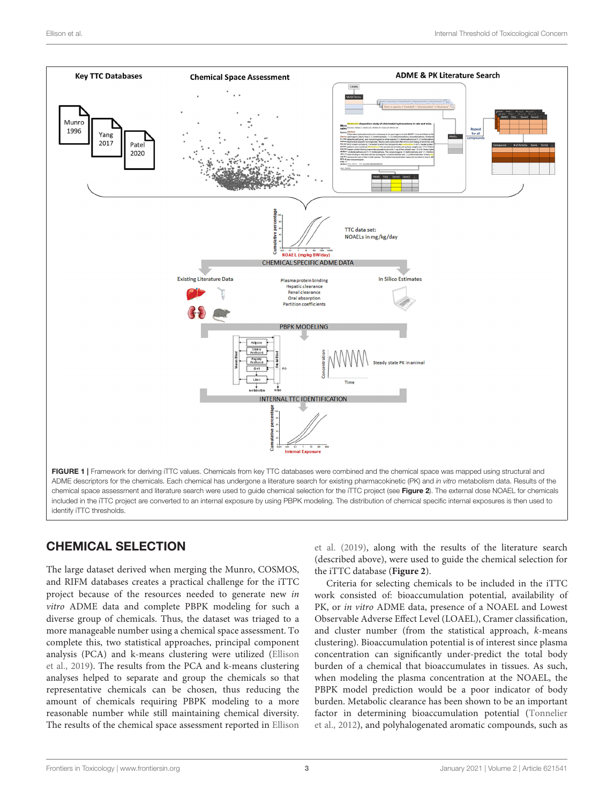

# <span id="page-2-0"></span>CHEMICAL SELECTION

The large dataset derived when merging the Munro, COSMOS, and RIFM databases creates a practical challenge for the iTTC project because of the resources needed to generate new in vitro ADME data and complete PBPK modeling for such a diverse group of chemicals. Thus, the dataset was triaged to a more manageable number using a chemical space assessment. To complete this, two statistical approaches, principal component analysis (PCA) and k-means clustering were utilized (Ellison et al., [2019\)](#page-5-5). The results from the PCA and k-means clustering analyses helped to separate and group the chemicals so that representative chemicals can be chosen, thus reducing the amount of chemicals requiring PBPK modeling to a more reasonable number while still maintaining chemical diversity. The results of the chemical space assessment reported in Ellison

et al. [\(2019\)](#page-5-5), along with the results of the literature search (described above), were used to guide the chemical selection for the iTTC database (**[Figure 2](#page-3-0)**).

Criteria for selecting chemicals to be included in the iTTC work consisted of: bioaccumulation potential, availability of PK, or in vitro ADME data, presence of a NOAEL and Lowest Observable Adverse Effect Level (LOAEL), Cramer classification, and cluster number (from the statistical approach, k-means clustering). Bioaccumulation potential is of interest since plasma concentration can significantly under-predict the total body burden of a chemical that bioaccumulates in tissues. As such, when modeling the plasma concentration at the NOAEL, the PBPK model prediction would be a poor indicator of body burden. Metabolic clearance has been shown to be an important factor in determining bioaccumulation potential (Tonnelier et al., [2012\)](#page-6-2), and polyhalogenated aromatic compounds, such as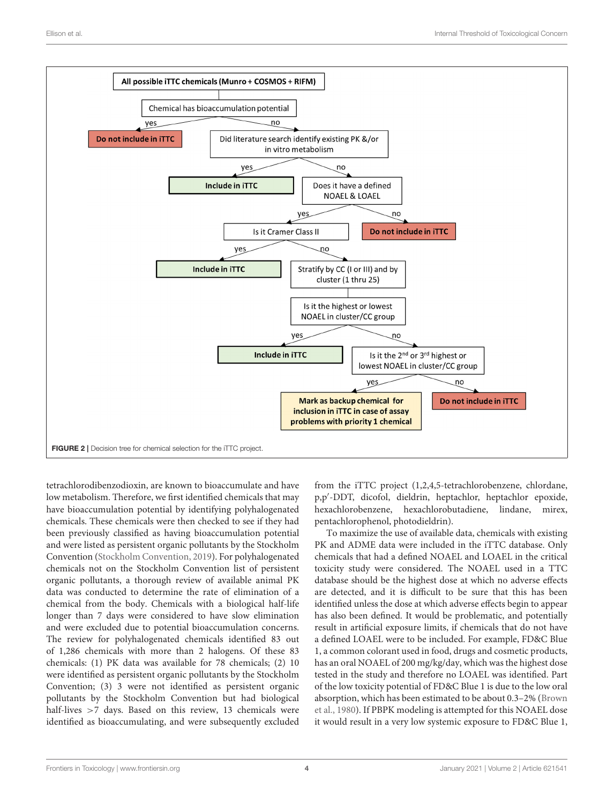

<span id="page-3-0"></span>tetrachlorodibenzodioxin, are known to bioaccumulate and have low metabolism. Therefore, we first identified chemicals that may have bioaccumulation potential by identifying polyhalogenated chemicals. These chemicals were then checked to see if they had been previously classified as having bioaccumulation potential and were listed as persistent organic pollutants by the Stockholm Convention [\(Stockholm Convention, 2019\)](#page-6-3). For polyhalogenated chemicals not on the Stockholm Convention list of persistent organic pollutants, a thorough review of available animal PK data was conducted to determine the rate of elimination of a chemical from the body. Chemicals with a biological half-life longer than 7 days were considered to have slow elimination and were excluded due to potential bioaccumulation concerns. The review for polyhalogenated chemicals identified 83 out of 1,286 chemicals with more than 2 halogens. Of these 83 chemicals: (1) PK data was available for 78 chemicals; (2) 10 were identified as persistent organic pollutants by the Stockholm Convention; (3) 3 were not identified as persistent organic pollutants by the Stockholm Convention but had biological half-lives >7 days. Based on this review, 13 chemicals were identified as bioaccumulating, and were subsequently excluded from the iTTC project (1,2,4,5-tetrachlorobenzene, chlordane, p,p′ -DDT, dicofol, dieldrin, heptachlor, heptachlor epoxide, hexachlorobenzene, hexachlorobutadiene, lindane, mirex, pentachlorophenol, photodieldrin).

To maximize the use of available data, chemicals with existing PK and ADME data were included in the iTTC database. Only chemicals that had a defined NOAEL and LOAEL in the critical toxicity study were considered. The NOAEL used in a TTC database should be the highest dose at which no adverse effects are detected, and it is difficult to be sure that this has been identified unless the dose at which adverse effects begin to appear has also been defined. It would be problematic, and potentially result in artificial exposure limits, if chemicals that do not have a defined LOAEL were to be included. For example, FD&C Blue 1, a common colorant used in food, drugs and cosmetic products, has an oral NOAEL of 200 mg/kg/day, which was the highest dose tested in the study and therefore no LOAEL was identified. Part of the low toxicity potential of FD&C Blue 1 is due to the low oral absorption, which has been estimated to be about 0.3–2% (Brown et al., [1980\)](#page-5-9). If PBPK modeling is attempted for this NOAEL dose it would result in a very low systemic exposure to FD&C Blue 1,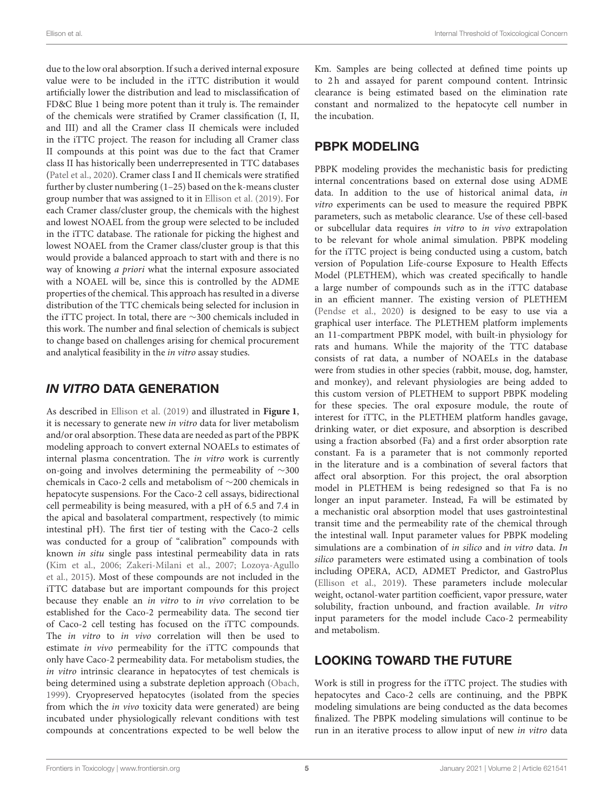due to the low oral absorption. If such a derived internal exposure value were to be included in the iTTC distribution it would artificially lower the distribution and lead to misclassification of FD&C Blue 1 being more potent than it truly is. The remainder of the chemicals were stratified by Cramer classification (I, II, and III) and all the Cramer class II chemicals were included in the iTTC project. The reason for including all Cramer class II compounds at this point was due to the fact that Cramer class II has historically been underrepresented in TTC databases [\(Patel et al., 2020\)](#page-5-7). Cramer class I and II chemicals were stratified further by cluster numbering (1–25) based on the k-means cluster group number that was assigned to it in [Ellison et al. \(2019\)](#page-5-5). For each Cramer class/cluster group, the chemicals with the highest and lowest NOAEL from the group were selected to be included in the iTTC database. The rationale for picking the highest and lowest NOAEL from the Cramer class/cluster group is that this would provide a balanced approach to start with and there is no way of knowing a priori what the internal exposure associated with a NOAEL will be, since this is controlled by the ADME properties of the chemical. This approach has resulted in a diverse distribution of the TTC chemicals being selected for inclusion in the iTTC project. In total, there are ∼300 chemicals included in this work. The number and final selection of chemicals is subject to change based on challenges arising for chemical procurement and analytical feasibility in the in vitro assay studies.

# IN VITRO DATA GENERATION

As described in [Ellison et al. \(2019\)](#page-5-5) and illustrated in **[Figure 1](#page-2-0)**, it is necessary to generate new in vitro data for liver metabolism and/or oral absorption. These data are needed as part of the PBPK modeling approach to convert external NOAELs to estimates of internal plasma concentration. The in vitro work is currently on-going and involves determining the permeability of ∼300 chemicals in Caco-2 cells and metabolism of ∼200 chemicals in hepatocyte suspensions. For the Caco-2 cell assays, bidirectional cell permeability is being measured, with a pH of 6.5 and 7.4 in the apical and basolateral compartment, respectively (to mimic intestinal pH). The first tier of testing with the Caco-2 cells was conducted for a group of "calibration" compounds with known in situ single pass intestinal permeability data in rats [\(Kim et al., 2006;](#page-5-10) [Zakeri-Milani et al., 2007;](#page-6-4) Lozoya-Agullo et al., [2015\)](#page-5-11). Most of these compounds are not included in the iTTC database but are important compounds for this project because they enable an in vitro to in vivo correlation to be established for the Caco-2 permeability data. The second tier of Caco-2 cell testing has focused on the iTTC compounds. The in vitro to in vivo correlation will then be used to estimate in vivo permeability for the iTTC compounds that only have Caco-2 permeability data. For metabolism studies, the in vitro intrinsic clearance in hepatocytes of test chemicals is being determined using a substrate depletion approach [\(Obach,](#page-5-12) [1999\)](#page-5-12). Cryopreserved hepatocytes (isolated from the species from which the in vivo toxicity data were generated) are being incubated under physiologically relevant conditions with test compounds at concentrations expected to be well below the Km. Samples are being collected at defined time points up to 2h and assayed for parent compound content. Intrinsic clearance is being estimated based on the elimination rate constant and normalized to the hepatocyte cell number in the incubation.

# PBPK MODELING

PBPK modeling provides the mechanistic basis for predicting internal concentrations based on external dose using ADME data. In addition to the use of historical animal data, in vitro experiments can be used to measure the required PBPK parameters, such as metabolic clearance. Use of these cell-based or subcellular data requires in vitro to in vivo extrapolation to be relevant for whole animal simulation. PBPK modeling for the iTTC project is being conducted using a custom, batch version of Population Life-course Exposure to Health Effects Model (PLETHEM), which was created specifically to handle a large number of compounds such as in the iTTC database in an efficient manner. The existing version of PLETHEM [\(Pendse et al., 2020\)](#page-5-13) is designed to be easy to use via a graphical user interface. The PLETHEM platform implements an 11-compartment PBPK model, with built-in physiology for rats and humans. While the majority of the TTC database consists of rat data, a number of NOAELs in the database were from studies in other species (rabbit, mouse, dog, hamster, and monkey), and relevant physiologies are being added to this custom version of PLETHEM to support PBPK modeling for these species. The oral exposure module, the route of interest for iTTC, in the PLETHEM platform handles gavage, drinking water, or diet exposure, and absorption is described using a fraction absorbed (Fa) and a first order absorption rate constant. Fa is a parameter that is not commonly reported in the literature and is a combination of several factors that affect oral absorption. For this project, the oral absorption model in PLETHEM is being redesigned so that Fa is no longer an input parameter. Instead, Fa will be estimated by a mechanistic oral absorption model that uses gastrointestinal transit time and the permeability rate of the chemical through the intestinal wall. Input parameter values for PBPK modeling simulations are a combination of in silico and in vitro data. In silico parameters were estimated using a combination of tools including OPERA, ACD, ADMET Predictor, and GastroPlus [\(Ellison et al., 2019\)](#page-5-5). These parameters include molecular weight, octanol-water partition coefficient, vapor pressure, water solubility, fraction unbound, and fraction available. In vitro input parameters for the model include Caco-2 permeability and metabolism.

# LOOKING TOWARD THE FUTURE

Work is still in progress for the iTTC project. The studies with hepatocytes and Caco-2 cells are continuing, and the PBPK modeling simulations are being conducted as the data becomes finalized. The PBPK modeling simulations will continue to be run in an iterative process to allow input of new in vitro data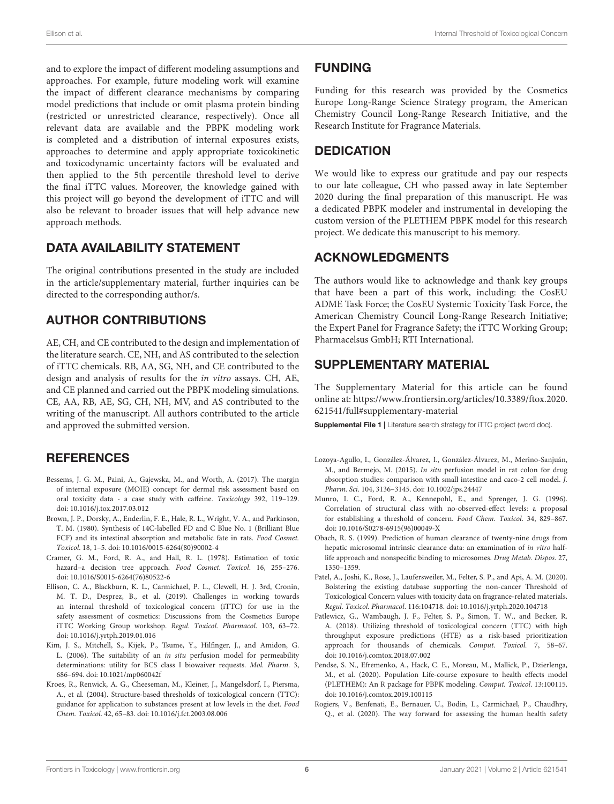and to explore the impact of different modeling assumptions and approaches. For example, future modeling work will examine the impact of different clearance mechanisms by comparing model predictions that include or omit plasma protein binding (restricted or unrestricted clearance, respectively). Once all relevant data are available and the PBPK modeling work is completed and a distribution of internal exposures exists, approaches to determine and apply appropriate toxicokinetic and toxicodynamic uncertainty factors will be evaluated and then applied to the 5th percentile threshold level to derive the final iTTC values. Moreover, the knowledge gained with this project will go beyond the development of iTTC and will also be relevant to broader issues that will help advance new approach methods.

# DATA AVAILABILITY STATEMENT

The original contributions presented in the study are included in the article/supplementary material, further inquiries can be directed to the corresponding author/s.

### AUTHOR CONTRIBUTIONS

AE, CH, and CE contributed to the design and implementation of the literature search. CE, NH, and AS contributed to the selection of iTTC chemicals. RB, AA, SG, NH, and CE contributed to the design and analysis of results for the in vitro assays. CH, AE, and CE planned and carried out the PBPK modeling simulations. CE, AA, RB, AE, SG, CH, NH, MV, and AS contributed to the writing of the manuscript. All authors contributed to the article and approved the submitted version.

### **REFERENCES**

- <span id="page-5-4"></span>Bessems, J. G. M., Paini, A., Gajewska, M., and Worth, A. (2017). The margin of internal exposure (MOIE) concept for dermal risk assessment based on oral toxicity data - a case study with caffeine. Toxicology 392, 119–129. doi: [10.1016/j.tox.2017.03.012](https://doi.org/10.1016/j.tox.2017.03.012)
- <span id="page-5-9"></span>Brown, J. P., Dorsky, A., Enderlin, F. E., Hale, R. L., Wright, V. A., and Parkinson, T. M. (1980). Synthesis of 14C-labelled FD and C Blue No. 1 (Brilliant Blue FCF) and its intestinal absorption and metabolic fate in rats. Food Cosmet. Toxicol. 18, 1–5. doi: [10.1016/0015-6264\(80\)90002-4](https://doi.org/10.1016/0015-6264(80)90002-4)
- <span id="page-5-3"></span>Cramer, G. M., Ford, R. A., and Hall, R. L. (1978). Estimation of toxic hazard–a decision tree approach. Food Cosmet. Toxicol. 16, 255–276. doi: [10.1016/S0015-6264\(76\)80522-6](https://doi.org/10.1016/S0015-6264(76)80522-6)
- <span id="page-5-5"></span>Ellison, C. A., Blackburn, K. L., Carmichael, P. L., Clewell, H. J. 3rd, Cronin, M. T. D., Desprez, B., et al. (2019). Challenges in working towards an internal threshold of toxicological concern (iTTC) for use in the safety assessment of cosmetics: Discussions from the Cosmetics Europe iTTC Working Group workshop. Regul. Toxicol. Pharmacol. 103, 63–72. doi: [10.1016/j.yrtph.2019.01.016](https://doi.org/10.1016/j.yrtph.2019.01.016)
- <span id="page-5-10"></span>Kim, J. S., Mitchell, S., Kijek, P., Tsume, Y., Hilfinger, J., and Amidon, G. L. (2006). The suitability of an in situ perfusion model for permeability determinations: utility for BCS class I biowaiver requests. Mol. Pharm. 3, 686–694. doi: [10.1021/mp060042f](https://doi.org/10.1021/mp060042f)
- <span id="page-5-0"></span>Kroes, R., Renwick, A. G., Cheeseman, M., Kleiner, J., Mangelsdorf, I., Piersma, A., et al. (2004). Structure-based thresholds of toxicological concern (TTC): guidance for application to substances present at low levels in the diet. Food Chem. Toxicol. 42, 65–83. doi: [10.1016/j.fct.2003.08.006](https://doi.org/10.1016/j.fct.2003.08.006)

### FUNDING

Funding for this research was provided by the Cosmetics Europe Long-Range Science Strategy program, the American Chemistry Council Long-Range Research Initiative, and the Research Institute for Fragrance Materials.

# **DEDICATION**

We would like to express our gratitude and pay our respects to our late colleague, CH who passed away in late September 2020 during the final preparation of this manuscript. He was a dedicated PBPK modeler and instrumental in developing the custom version of the PLETHEM PBPK model for this research project. We dedicate this manuscript to his memory.

### ACKNOWLEDGMENTS

The authors would like to acknowledge and thank key groups that have been a part of this work, including: the CosEU ADME Task Force; the CosEU Systemic Toxicity Task Force, the American Chemistry Council Long-Range Research Initiative; the Expert Panel for Fragrance Safety; the iTTC Working Group; Pharmacelsus GmbH; RTI International.

# SUPPLEMENTARY MATERIAL

<span id="page-5-8"></span>The Supplementary Material for this article can be found [online at: https://www.frontiersin.org/articles/10.3389/ftox.2020.](https://www.frontiersin.org/articles/10.3389/ftox.2020.621541/full#supplementary-material) 621541/full#supplementary-material

Supplemental File 1 | Literature search strategy for iTTC project (word doc).

- <span id="page-5-11"></span>Lozoya-Agullo, I., González-Álvarez, I., González-Álvarez, M., Merino-Sanjuán, M., and Bermejo, M. (2015). In situ perfusion model in rat colon for drug absorption studies: comparison with small intestine and caco-2 cell model. J. Pharm. Sci. 104, 3136–3145. doi: [10.1002/jps.24447](https://doi.org/10.1002/jps.24447)
- <span id="page-5-2"></span>Munro, I. C., Ford, R. A., Kennepohl, E., and Sprenger, J. G. (1996). Correlation of structural class with no-observed-effect levels: a proposal for establishing a threshold of concern. Food Chem. Toxicol. 34, 829–867. doi: [10.1016/S0278-6915\(96\)00049-X](https://doi.org/10.1016/S0278-6915(96)00049-X)
- <span id="page-5-12"></span>Obach, R. S. (1999). Prediction of human clearance of twenty-nine drugs from hepatic microsomal intrinsic clearance data: an examination of in vitro halflife approach and nonspecific binding to microsomes. Drug Metab. Dispos. 27, 1350–1359.
- <span id="page-5-7"></span>Patel, A., Joshi, K., Rose, J., Laufersweiler, M., Felter, S. P., and Api, A. M. (2020). Bolstering the existing database supporting the non-cancer Threshold of Toxicological Concern values with toxicity data on fragrance-related materials. Regul. Toxicol. Pharmacol. 116:104718. doi: [10.1016/j.yrtph.2020.104718](https://doi.org/10.1016/j.yrtph.2020.104718)
- <span id="page-5-1"></span>Patlewicz, G., Wambaugh, J. F., Felter, S. P., Simon, T. W., and Becker, R. A. (2018). Utilizing threshold of toxicological concern (TTC) with high throughput exposure predictions (HTE) as a risk-based prioritization approach for thousands of chemicals. Comput. Toxicol. 7, 58–67. doi: [10.1016/j.comtox.2018.07.002](https://doi.org/10.1016/j.comtox.2018.07.002)
- <span id="page-5-13"></span>Pendse, S. N., Efremenko, A., Hack, C. E., Moreau, M., Mallick, P., Dzierlenga, M., et al. (2020). Population Life-course exposure to health effects model (PLETHEM): An R package for PBPK modeling. Comput. Toxicol. 13:100115. doi: [10.1016/j.comtox.2019.100115](https://doi.org/10.1016/j.comtox.2019.100115)
- <span id="page-5-6"></span>Rogiers, V., Benfenati, E., Bernauer, U., Bodin, L., Carmichael, P., Chaudhry, Q., et al. (2020). The way forward for assessing the human health safety